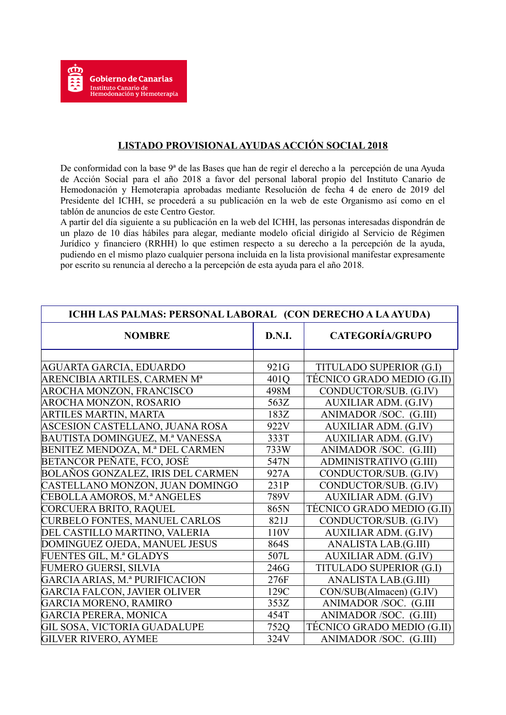## **LISTADO PROVISIONAL AYUDAS ACCIÓN SOCIAL 2018**

De conformidad con la base 9ª de las Bases que han de regir el derecho a la percepción de una Ayuda de Acción Social para el año 2018 a favor del personal laboral propio del Instituto Canario de Hemodonación y Hemoterapia aprobadas mediante Resolución de fecha 4 de enero de 2019 del Presidente del ICHH, se procederá a su publicación en la web de este Organismo así como en el tablón de anuncios de este Centro Gestor.

A partir del día siguiente a su publicación en la web del ICHH, las personas interesadas dispondrán de un plazo de 10 días hábiles para alegar, mediante modelo oficial dirigido al Servicio de Régimen Jurídico y financiero (RRHH) lo que estimen respecto a su derecho a la percepción de la ayuda, pudiendo en el mismo plazo cualquier persona incluida en la lista provisional manifestar expresamente por escrito su renuncia al derecho a la percepción de esta ayuda para el año 2018.

| ICHH LAS PALMAS: PERSONAL LABORAL (CON DERECHO A LA AYUDA) |        |                             |  |
|------------------------------------------------------------|--------|-----------------------------|--|
| <b>NOMBRE</b>                                              | D.N.I. | <b>CATEGORÍA/GRUPO</b>      |  |
|                                                            |        |                             |  |
| AGUARTA GARCIA, EDUARDO                                    | 921G   | TITULADO SUPERIOR (G.I)     |  |
| ARENCIBIA ARTILES, CARMEN M <sup>a</sup>                   | 401Q   | TÉCNICO GRADO MEDIO (G.II)  |  |
| AROCHA MONZON, FRANCISCO                                   | 498M   | CONDUCTOR/SUB. (G.IV)       |  |
| <b>AROCHA MONZON, ROSARIO</b>                              | 563Z   | <b>AUXILIAR ADM. (G.IV)</b> |  |
| ARTILES MARTIN, MARTA                                      | 183Z   | ANIMADOR/SOC. (G.III)       |  |
| ASCESION CASTELLANO, JUANA ROSA                            | 922V   | <b>AUXILIAR ADM. (G.IV)</b> |  |
| BAUTISTA DOMINGUEZ, M.ª VANESSA                            | 333T   | <b>AUXILIAR ADM. (G.IV)</b> |  |
| BENITEZ MENDOZA, M.ª DEL CARMEN                            | 733W   | ANIMADOR/SOC. (G.III)       |  |
| BETANCOR PEÑATE, FCO, JOSÉ                                 | 547N   | ADMINISTRATIVO (G.III)      |  |
| BOLAÑOS GONZALEZ, IRIS DEL CARMEN                          | 927A   | CONDUCTOR/SUB. (G.IV)       |  |
| CASTELLANO MONZON, JUAN DOMINGO                            | 231P   | CONDUCTOR/SUB. (G.IV)       |  |
| CEBOLLA AMOROS, M.ª ANGELES                                | 789V   | <b>AUXILIAR ADM. (G.IV)</b> |  |
| CORCUERA BRITO, RAQUEL                                     | 865N   | TÉCNICO GRADO MEDIO (G.II)  |  |
| <b>CURBELO FONTES, MANUEL CARLOS</b>                       | 821J   | CONDUCTOR/SUB. (G.IV)       |  |
| DEL CASTILLO MARTINO, VALERIA                              | 110V   | <b>AUXILIAR ADM. (G.IV)</b> |  |
| DOMINGUEZ OJEDA, MANUEL JESUS                              | 864S   | ANALISTA LAB.(G.III)        |  |
| FUENTES GIL, M.ª GLADYS                                    | 507L   | <b>AUXILIAR ADM. (G.IV)</b> |  |
| <b>FUMERO GUERSI, SILVIA</b>                               | 246G   | TITULADO SUPERIOR (G.I)     |  |
| GARCIA ARIAS, M.ª PURIFICACION                             | 276F   | ANALISTA LAB.(G.III)        |  |
| <b>GARCIA FALCON, JAVIER OLIVER</b>                        | 129C   | CON/SUB(Almacen) (G.IV)     |  |
| <b>GARCIA MORENO, RAMIRO</b>                               | 353Z   | ANIMADOR /SOC. (G.III       |  |
| <b>GARCIA PERERA, MONICA</b>                               | 454T   | ANIMADOR/SOC. (G.III)       |  |
| <b>GIL SOSA, VICTORIA GUADALUPE</b>                        | 752Q   | TÉCNICO GRADO MEDIO (G.II)  |  |
| <b>GILVER RIVERO, AYMEE</b>                                | 324V   | ANIMADOR/SOC. (G.III)       |  |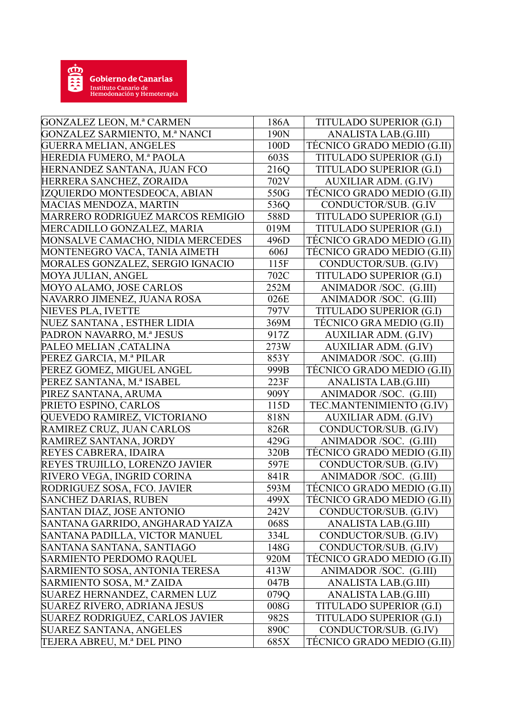

| <b>GONZALEZ LEON, M.ª CARMEN</b>        | 186A | TITULADO SUPERIOR (G.I)     |
|-----------------------------------------|------|-----------------------------|
| <b>GONZALEZ SARMIENTO, M.ª NANCI</b>    | 190N | ANALISTA LAB.(G.III)        |
| <b>GUERRA MELIAN, ANGELES</b>           | 100D | TÉCNICO GRADO MEDIO (G.II)  |
| HEREDIA FUMERO, M.ª PAOLA               | 603S | TITULADO SUPERIOR (G.I)     |
| HERNANDEZ SANTANA, JUAN FCO             | 216Q | TITULADO SUPERIOR (G.I)     |
| HERRERA SANCHEZ, ZORAIDA                | 702V | <b>AUXILIAR ADM. (G.IV)</b> |
| IZQUIERDO MONTESDEOCA, ABIAN            | 550G | TÉCNICO GRADO MEDIO (G.II)  |
| MACIAS MENDOZA, MARTIN                  | 536Q | CONDUCTOR/SUB. (G.IV        |
| <b>MARRERO RODRIGUEZ MARCOS REMIGIO</b> | 588D | TITULADO SUPERIOR (G.I)     |
| MERCADILLO GONZALEZ, MARIA              | 019M | TITULADO SUPERIOR (G.I)     |
| MONSALVE CAMACHO, NIDIA MERCEDES        | 496D | TÉCNICO GRADO MEDIO (G.II)  |
| MONTENEGRO VACA, TANIA AIMETH           | 606J | TÉCNICO GRADO MEDIO (G.II)  |
| MORALES GONZALEZ, SERGIO IGNACIO        | 115F | CONDUCTOR/SUB. (G.IV)       |
| MOYA JULIAN, ANGEL                      | 702C | TITULADO SUPERIOR (G.I)     |
| MOYO ALAMO, JOSE CARLOS                 | 252M | ANIMADOR/SOC. (G.III)       |
| NAVARRO JIMENEZ, JUANA ROSA             | 026E | ANIMADOR/SOC. (G.III)       |
| NIEVES PLA, IVETTE                      | 797V | TITULADO SUPERIOR (G.I)     |
| NUEZ SANTANA, ESTHER LIDIA              | 369M | TÉCNICO GRA MEDIO (G.II)    |
| PADRON NAVARRO, M.ª JESUS               | 917Z | <b>AUXILIAR ADM. (G.IV)</b> |
| PALEO MELIAN, CATALINA                  | 273W | <b>AUXILIAR ADM. (G.IV)</b> |
| PEREZ GARCIA, M.ª PILAR                 | 853Y | ANIMADOR/SOC. (G.III)       |
| PEREZ GOMEZ, MIGUEL ANGEL               | 999B | TÉCNICO GRADO MEDIO (G.II)  |
| PEREZ SANTANA, M.ª ISABEL               | 223F | ANALISTA LAB.(G.III)        |
| PIREZ SANTANA, ARUMA                    | 909Y | ANIMADOR/SOC. (G.III)       |
| PRIETO ESPINO, CARLOS                   | 115D | TEC.MANTENIMIENTO (G.IV)    |
| QUEVEDO RAMIREZ, VICTORIANO             | 818N | <b>AUXILIAR ADM. (G.IV)</b> |
| RAMIREZ CRUZ, JUAN CARLOS               | 826R | CONDUCTOR/SUB. (G.IV)       |
| RAMIREZ SANTANA, JORDY                  | 429G | ANIMADOR/SOC. (G.III)       |
| REYES CABRERA, IDAIRA                   | 320B | TÉCNICO GRADO MEDIO (G.II)  |
| REYES TRUJILLO, LORENZO JAVIER          | 597E | CONDUCTOR/SUB. (G.IV)       |
| RIVERO VEGA, INGRID CORINA              | 841R | ANIMADOR/SOC. (G.III)       |
| RODRIGUEZ SOSA, FCO. JAVIER             | 593M | TÉCNICO GRADO MEDIO (G.II)  |
| <b>SANCHEZ DARIAS, RUBEN</b>            | 499X | TÉCNICO GRADO MEDIO (G.II)  |
| SANTAN DIAZ, JOSE ANTONIO               | 242V | CONDUCTOR/SUB. (G.IV)       |
| SANTANA GARRIDO, ANGHARAD YAIZA         | 068S | ANALISTA LAB.(G.III)        |
| SANTANA PADILLA, VICTOR MANUEL          | 334L | CONDUCTOR/SUB. (G.IV)       |
| SANTANA SANTANA, SANTIAGO               | 148G | CONDUCTOR/SUB. (G.IV)       |
| SARMIENTO PERDOMO RAQUEL                | 920M | TECNICO GRADO MEDIO (G.II)  |
| SARMIENTO SOSA, ANTONIA TERESA          | 413W | ANIMADOR/SOC. (G.III)       |
| SARMIENTO SOSA, M.ª ZAIDA               | 047B | ANALISTA LAB.(G.III)        |
| SUAREZ HERNANDEZ, CARMEN LUZ            | 079Q | ANALISTA LAB.(G.III)        |
| SUAREZ RIVERO, ADRIANA JESUS            | 008G | TITULADO SUPERIOR (G.I)     |
| SUAREZ RODRIGUEZ, CARLOS JAVIER         | 982S | TITULADO SUPERIOR (G.I)     |
| SUAREZ SANTANA, ANGELES                 | 890C | CONDUCTOR/SUB. (G.IV)       |
| TEJERA ABREU, M.ª DEL PINO              | 685X | TÉCNICO GRADO MEDIO (G.II)  |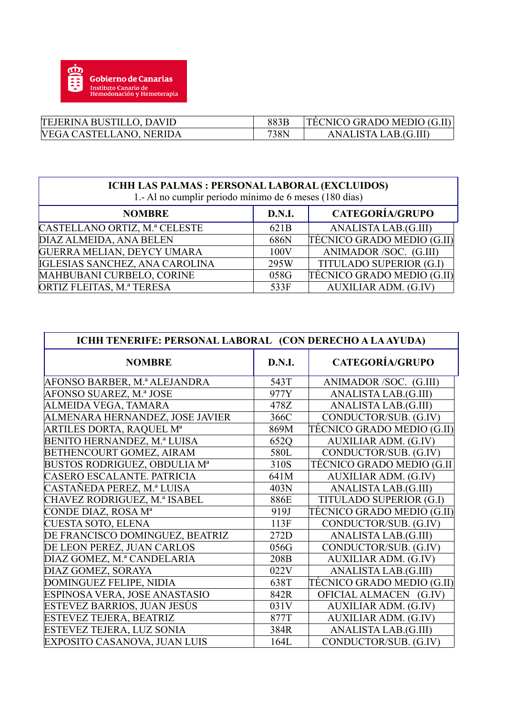

| TEJERINA BUSTILLO, DAVID       | 883B | TECNICO GRADO MEDIO (G.II) |
|--------------------------------|------|----------------------------|
| <b>VEGA CASTELLANO, NERIDA</b> | 738N | ANALISTA LAB.(G.III)       |

| ICHH LAS PALMAS : PERSONAL LABORAL (EXCLUIDOS)<br>1.- Al no cumplir periodo mínimo de 6 meses (180 días) |                  |                             |  |
|----------------------------------------------------------------------------------------------------------|------------------|-----------------------------|--|
| <b>NOMBRE</b>                                                                                            | <b>D.N.I.</b>    | <b>CATEGORÍA/GRUPO</b>      |  |
| CASTELLANO ORTIZ, M.ª CELESTE                                                                            | 621 <sub>B</sub> | ANALISTA LAB.(G.III)        |  |
| DIAZ ALMEIDA, ANA BELEN                                                                                  | 686N             | TÉCNICO GRADO MEDIO (G.II)  |  |
| <b>GUERRA MELIAN, DEYCY UMARA</b>                                                                        | 100V             | ANIMADOR/SOC. (G.III)       |  |
| IGLESIAS SANCHEZ, ANA CAROLINA                                                                           | 295W             | TITULADO SUPERIOR (G.I)     |  |
| MAHBUBANI CURBELO, CORINE                                                                                | 058G             | TÉCNICO GRADO MEDIO (G.II)  |  |
| ORTIZ FLEITAS, M.ª TERESA                                                                                | 533F             | <b>AUXILIAR ADM. (G.IV)</b> |  |

| ICHH TENERIFE: PERSONAL LABORAL (CON DERECHO A LA AYUDA) |        |                             |  |
|----------------------------------------------------------|--------|-----------------------------|--|
| <b>NOMBRE</b>                                            | D.N.I. | <b>CATEGORÍA/GRUPO</b>      |  |
| AFONSO BARBER, M.ª ALEJANDRA                             | 543T   | ANIMADOR/SOC. (G.III)       |  |
| AFONSO SUAREZ, M.ª JOSE                                  | 977Y   | ANALISTA LAB.(G.III)        |  |
| ALMEIDA VEGA, TAMARA                                     | 478Z   | ANALISTA LAB.(G.III)        |  |
| ALMENARA HERNANDEZ, JOSE JAVIER                          | 366C   | CONDUCTOR/SUB. (G.IV)       |  |
| <b>ARTILES DORTA, RAQUEL Mª</b>                          | 869M   | TÉCNICO GRADO MEDIO (G.II)  |  |
| BENITO HERNANDEZ, M.ª LUISA                              | 652Q   | <b>AUXILIAR ADM. (G.IV)</b> |  |
| BETHENCOURT GOMEZ, AIRAM                                 | 580L   | CONDUCTOR/SUB. (G.IV)       |  |
| <b>BUSTOS RODRIGUEZ, OBDULIA Mª</b>                      | 310S   | TÉCNICO GRADO MEDIO (G.II   |  |
| CASERO ESCALANTE. PATRICIA                               | 641M   | <b>AUXILIAR ADM. (G.IV)</b> |  |
| CASTAÑEDA PEREZ, M.ª LUISA                               | 403N   | ANALISTA LAB.(G.III)        |  |
| CHAVEZ RODRIGUEZ, M.ª ISABEL                             | 886E   | TITULADO SUPERIOR (G.I)     |  |
| CONDE DIAZ, ROSA Mª                                      | 919J   | TÉCNICO GRADO MEDIO (G.II)  |  |
| <b>CUESTA SOTO, ELENA</b>                                | 113F   | CONDUCTOR/SUB. (G.IV)       |  |
| DE FRANCISCO DOMINGUEZ, BEATRIZ                          | 272D   | ANALISTA LAB.(G.III)        |  |
| DE LEON PEREZ, JUAN CARLOS                               | 056G   | CONDUCTOR/SUB. (G.IV)       |  |
| DIAZ GOMEZ, M.ª CANDELARIA                               | 208B   | <b>AUXILIAR ADM. (G.IV)</b> |  |
| DIAZ GOMEZ, SORAYA                                       | 022V   | ANALISTA LAB.(G.III)        |  |
| DOMINGUEZ FELIPE, NIDIA                                  | 638T   | TÉCNICO GRADO MEDIO (G.II)  |  |
| ESPINOSA VERA, JOSE ANASTASIO                            | 842R   | OFICIAL ALMACEN (G.IV)      |  |
| ESTEVEZ BARRIOS, JUAN JESÚS                              | 031V   | <b>AUXILIAR ADM. (G.IV)</b> |  |
| ESTEVEZ TEJERA, BEATRIZ                                  | 877T   | <b>AUXILIAR ADM. (G.IV)</b> |  |
| ESTEVEZ TEJERA, LUZ SONIA                                | 384R   | ANALISTA LAB.(G.III)        |  |
| EXPOSITO CASANOVA, JUAN LUIS                             | 164L   | CONDUCTOR/SUB. (G.IV)       |  |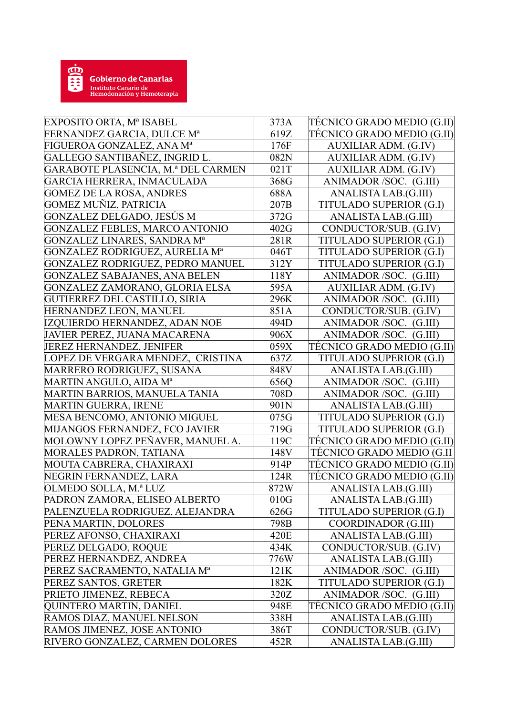

| TÉCNICO GRADO MEDIO (G.II)<br>FERNANDEZ GARCIA, DULCE Mª<br>619Z<br>FIGUEROA GONZALEZ, ANA Mª<br>176F<br><b>AUXILIAR ADM. (G.IV)</b><br>GALLEGO SANTIBAÑEZ, INGRID L.<br>082N<br><b>AUXILIAR ADM. (G.IV)</b><br><b>GARABOTE PLASENCIA, M.ª DEL CARMEN</b><br>021T<br><b>AUXILIAR ADM. (G.IV)</b><br>GARCIA HERRERA, INMACULADA<br>368G<br>ANIMADOR/SOC. (G.III)<br>688A<br>ANALISTA LAB.(G.III)<br><b>GOMEZ DE LA ROSA, ANDRES</b><br>GOMEZ MUÑIZ, PATRICIA<br>207B<br>TITULADO SUPERIOR (G.I)<br> GONZALEZ DELGADO, JESÚS M<br>372G<br>ANALISTA LAB.(G.III)<br><b>GONZALEZ FEBLES, MARCO ANTONIO</b><br>402G<br>CONDUCTOR/SUB. (G.IV)<br><b>GONZALEZ LINARES, SANDRA Mª</b><br>281R<br>TITULADO SUPERIOR (G.I)<br><b>GONZALEZ RODRIGUEZ, AURELIA Mª</b><br>TITULADO SUPERIOR (G.I)<br>046T<br>GONZALEZ RODRIGUEZ, PEDRO MANUEL<br>312Y<br>TITULADO SUPERIOR (G.I)<br><b>GONZALEZ SABAJANES, ANA BELEN</b><br>118Y<br>ANIMADOR/SOC. (G.III)<br>GONZALEZ ZAMORANO, GLORIA ELSA<br>595A<br><b>AUXILIAR ADM. (G.IV)</b><br>GUTIERREZ DEL CASTILLO, SIRIA<br>296K<br>ANIMADOR/SOC. (G.III)<br>851A<br>HERNANDEZ LEON, MANUEL<br>CONDUCTOR/SUB. (G.IV)<br>IZQUIERDO HERNANDEZ, ADAN NOE<br>494D<br>ANIMADOR/SOC. (G.III)<br>906X<br>JAVIER PEREZ, JUANA MACARENA<br>ANIMADOR/SOC. (G.III)<br>JEREZ HERNANDEZ, JENIFER<br>059X<br>TÉCNICO GRADO MEDIO (G.II)<br>LOPEZ DE VERGARA MENDEZ, CRISTINA<br>637Z<br>TITULADO SUPERIOR (G.I)<br>MARRERO RODRIGUEZ, SUSANA<br>848V<br>ANALISTA LAB.(G.III)<br>MARTIN ANGULO, AIDA Mª<br>656Q<br>ANIMADOR/SOC. (G.III)<br>MARTIN BARRIOS, MANUELA TANIA<br>708D<br>ANIMADOR/SOC. (G.III)<br><b>MARTIN GUERRA, IRENE</b><br>901N<br>ANALISTA LAB.(G.III)<br>MESA BENCOMO, ANTONIO MIGUEL<br>075G<br>TITULADO SUPERIOR (G.I)<br>MIJANGOS FERNANDEZ, FCO JAVIER<br>719G<br>TITULADO SUPERIOR (G.I)<br>MOLOWNY LOPEZ PEÑAVER, MANUEL A.<br>TECNICO GRADO MEDIO (G.II)<br>119C<br>MORALES PADRON, TATIANA<br>TÉCNICO GRADO MEDIO (G.II<br>148V<br>TÉCNICO GRADO MEDIO (G.II)<br>MOUTA CABRERA, CHAXIRAXI<br>914P<br>TÉCNICO GRADO MEDIO (G.II)<br>NEGRIN FERNANDEZ, LARA<br>124R<br>OLMEDO SOLLA, M.ª LUZ<br>872W<br>ANALISTA LAB.(G.III)<br>PADRON ZAMORA, ELISEO ALBERTO<br>ANALISTA LAB.(G.III)<br>010G<br>TITULADO SUPERIOR (G.I)<br>PALENZUELA RODRIGUEZ, ALEJANDRA<br>626G<br>PENA MARTIN, DOLORES<br>798B<br>COORDINADOR (G.III)<br>PEREZ AFONSO, CHAXIRAXI<br>ANALISTA LAB.(G.III)<br>420E<br>PEREZ DELGADO, ROQUE<br>434K<br>CONDUCTOR/SUB. (G.IV)<br>PEREZ HERNANDEZ, ANDREA<br>776W<br>ANALISTA LAB.(G.III)<br>ANIMADOR /SOC. (G.III)<br>PEREZ SACRAMENTO, NATALIA Mª<br>121K<br>PEREZ SANTOS, GRETER<br>182K<br>TITULADO SUPERIOR (G.I)<br>PRIETO JIMENEZ, REBECA<br>320Z<br>ANIMADOR/SOC. (G.III)<br>QUINTERO MARTIN, DANIEL<br>TÉCNICO GRADO MEDIO (G.II)<br>948E<br>RAMOS DIAZ, MANUEL NELSON<br>338H<br>ANALISTA LAB.(G.III)<br>RAMOS JIMENEZ, JOSE ANTONIO<br>CONDUCTOR/SUB. (G.IV)<br>386T<br>RIVERO GONZALEZ, CARMEN DOLORES<br>ANALISTA LAB.(G.III)<br>452R | EXPOSITO ORTA, Mª ISABEL | 373A | TECNICO GRADO MEDIO (G.II) |
|------------------------------------------------------------------------------------------------------------------------------------------------------------------------------------------------------------------------------------------------------------------------------------------------------------------------------------------------------------------------------------------------------------------------------------------------------------------------------------------------------------------------------------------------------------------------------------------------------------------------------------------------------------------------------------------------------------------------------------------------------------------------------------------------------------------------------------------------------------------------------------------------------------------------------------------------------------------------------------------------------------------------------------------------------------------------------------------------------------------------------------------------------------------------------------------------------------------------------------------------------------------------------------------------------------------------------------------------------------------------------------------------------------------------------------------------------------------------------------------------------------------------------------------------------------------------------------------------------------------------------------------------------------------------------------------------------------------------------------------------------------------------------------------------------------------------------------------------------------------------------------------------------------------------------------------------------------------------------------------------------------------------------------------------------------------------------------------------------------------------------------------------------------------------------------------------------------------------------------------------------------------------------------------------------------------------------------------------------------------------------------------------------------------------------------------------------------------------------------------------------------------------------------------------------------------------------------------------------------------------------------------------------------------------------------------------------------------------------------------------------------------------------------------------------------------------------------------------------------------------------------------------------------------------------------------------------------------------------------------------------------|--------------------------|------|----------------------------|
|                                                                                                                                                                                                                                                                                                                                                                                                                                                                                                                                                                                                                                                                                                                                                                                                                                                                                                                                                                                                                                                                                                                                                                                                                                                                                                                                                                                                                                                                                                                                                                                                                                                                                                                                                                                                                                                                                                                                                                                                                                                                                                                                                                                                                                                                                                                                                                                                                                                                                                                                                                                                                                                                                                                                                                                                                                                                                                                                                                                                            |                          |      |                            |
|                                                                                                                                                                                                                                                                                                                                                                                                                                                                                                                                                                                                                                                                                                                                                                                                                                                                                                                                                                                                                                                                                                                                                                                                                                                                                                                                                                                                                                                                                                                                                                                                                                                                                                                                                                                                                                                                                                                                                                                                                                                                                                                                                                                                                                                                                                                                                                                                                                                                                                                                                                                                                                                                                                                                                                                                                                                                                                                                                                                                            |                          |      |                            |
|                                                                                                                                                                                                                                                                                                                                                                                                                                                                                                                                                                                                                                                                                                                                                                                                                                                                                                                                                                                                                                                                                                                                                                                                                                                                                                                                                                                                                                                                                                                                                                                                                                                                                                                                                                                                                                                                                                                                                                                                                                                                                                                                                                                                                                                                                                                                                                                                                                                                                                                                                                                                                                                                                                                                                                                                                                                                                                                                                                                                            |                          |      |                            |
|                                                                                                                                                                                                                                                                                                                                                                                                                                                                                                                                                                                                                                                                                                                                                                                                                                                                                                                                                                                                                                                                                                                                                                                                                                                                                                                                                                                                                                                                                                                                                                                                                                                                                                                                                                                                                                                                                                                                                                                                                                                                                                                                                                                                                                                                                                                                                                                                                                                                                                                                                                                                                                                                                                                                                                                                                                                                                                                                                                                                            |                          |      |                            |
|                                                                                                                                                                                                                                                                                                                                                                                                                                                                                                                                                                                                                                                                                                                                                                                                                                                                                                                                                                                                                                                                                                                                                                                                                                                                                                                                                                                                                                                                                                                                                                                                                                                                                                                                                                                                                                                                                                                                                                                                                                                                                                                                                                                                                                                                                                                                                                                                                                                                                                                                                                                                                                                                                                                                                                                                                                                                                                                                                                                                            |                          |      |                            |
|                                                                                                                                                                                                                                                                                                                                                                                                                                                                                                                                                                                                                                                                                                                                                                                                                                                                                                                                                                                                                                                                                                                                                                                                                                                                                                                                                                                                                                                                                                                                                                                                                                                                                                                                                                                                                                                                                                                                                                                                                                                                                                                                                                                                                                                                                                                                                                                                                                                                                                                                                                                                                                                                                                                                                                                                                                                                                                                                                                                                            |                          |      |                            |
|                                                                                                                                                                                                                                                                                                                                                                                                                                                                                                                                                                                                                                                                                                                                                                                                                                                                                                                                                                                                                                                                                                                                                                                                                                                                                                                                                                                                                                                                                                                                                                                                                                                                                                                                                                                                                                                                                                                                                                                                                                                                                                                                                                                                                                                                                                                                                                                                                                                                                                                                                                                                                                                                                                                                                                                                                                                                                                                                                                                                            |                          |      |                            |
|                                                                                                                                                                                                                                                                                                                                                                                                                                                                                                                                                                                                                                                                                                                                                                                                                                                                                                                                                                                                                                                                                                                                                                                                                                                                                                                                                                                                                                                                                                                                                                                                                                                                                                                                                                                                                                                                                                                                                                                                                                                                                                                                                                                                                                                                                                                                                                                                                                                                                                                                                                                                                                                                                                                                                                                                                                                                                                                                                                                                            |                          |      |                            |
|                                                                                                                                                                                                                                                                                                                                                                                                                                                                                                                                                                                                                                                                                                                                                                                                                                                                                                                                                                                                                                                                                                                                                                                                                                                                                                                                                                                                                                                                                                                                                                                                                                                                                                                                                                                                                                                                                                                                                                                                                                                                                                                                                                                                                                                                                                                                                                                                                                                                                                                                                                                                                                                                                                                                                                                                                                                                                                                                                                                                            |                          |      |                            |
|                                                                                                                                                                                                                                                                                                                                                                                                                                                                                                                                                                                                                                                                                                                                                                                                                                                                                                                                                                                                                                                                                                                                                                                                                                                                                                                                                                                                                                                                                                                                                                                                                                                                                                                                                                                                                                                                                                                                                                                                                                                                                                                                                                                                                                                                                                                                                                                                                                                                                                                                                                                                                                                                                                                                                                                                                                                                                                                                                                                                            |                          |      |                            |
|                                                                                                                                                                                                                                                                                                                                                                                                                                                                                                                                                                                                                                                                                                                                                                                                                                                                                                                                                                                                                                                                                                                                                                                                                                                                                                                                                                                                                                                                                                                                                                                                                                                                                                                                                                                                                                                                                                                                                                                                                                                                                                                                                                                                                                                                                                                                                                                                                                                                                                                                                                                                                                                                                                                                                                                                                                                                                                                                                                                                            |                          |      |                            |
|                                                                                                                                                                                                                                                                                                                                                                                                                                                                                                                                                                                                                                                                                                                                                                                                                                                                                                                                                                                                                                                                                                                                                                                                                                                                                                                                                                                                                                                                                                                                                                                                                                                                                                                                                                                                                                                                                                                                                                                                                                                                                                                                                                                                                                                                                                                                                                                                                                                                                                                                                                                                                                                                                                                                                                                                                                                                                                                                                                                                            |                          |      |                            |
|                                                                                                                                                                                                                                                                                                                                                                                                                                                                                                                                                                                                                                                                                                                                                                                                                                                                                                                                                                                                                                                                                                                                                                                                                                                                                                                                                                                                                                                                                                                                                                                                                                                                                                                                                                                                                                                                                                                                                                                                                                                                                                                                                                                                                                                                                                                                                                                                                                                                                                                                                                                                                                                                                                                                                                                                                                                                                                                                                                                                            |                          |      |                            |
|                                                                                                                                                                                                                                                                                                                                                                                                                                                                                                                                                                                                                                                                                                                                                                                                                                                                                                                                                                                                                                                                                                                                                                                                                                                                                                                                                                                                                                                                                                                                                                                                                                                                                                                                                                                                                                                                                                                                                                                                                                                                                                                                                                                                                                                                                                                                                                                                                                                                                                                                                                                                                                                                                                                                                                                                                                                                                                                                                                                                            |                          |      |                            |
|                                                                                                                                                                                                                                                                                                                                                                                                                                                                                                                                                                                                                                                                                                                                                                                                                                                                                                                                                                                                                                                                                                                                                                                                                                                                                                                                                                                                                                                                                                                                                                                                                                                                                                                                                                                                                                                                                                                                                                                                                                                                                                                                                                                                                                                                                                                                                                                                                                                                                                                                                                                                                                                                                                                                                                                                                                                                                                                                                                                                            |                          |      |                            |
|                                                                                                                                                                                                                                                                                                                                                                                                                                                                                                                                                                                                                                                                                                                                                                                                                                                                                                                                                                                                                                                                                                                                                                                                                                                                                                                                                                                                                                                                                                                                                                                                                                                                                                                                                                                                                                                                                                                                                                                                                                                                                                                                                                                                                                                                                                                                                                                                                                                                                                                                                                                                                                                                                                                                                                                                                                                                                                                                                                                                            |                          |      |                            |
|                                                                                                                                                                                                                                                                                                                                                                                                                                                                                                                                                                                                                                                                                                                                                                                                                                                                                                                                                                                                                                                                                                                                                                                                                                                                                                                                                                                                                                                                                                                                                                                                                                                                                                                                                                                                                                                                                                                                                                                                                                                                                                                                                                                                                                                                                                                                                                                                                                                                                                                                                                                                                                                                                                                                                                                                                                                                                                                                                                                                            |                          |      |                            |
|                                                                                                                                                                                                                                                                                                                                                                                                                                                                                                                                                                                                                                                                                                                                                                                                                                                                                                                                                                                                                                                                                                                                                                                                                                                                                                                                                                                                                                                                                                                                                                                                                                                                                                                                                                                                                                                                                                                                                                                                                                                                                                                                                                                                                                                                                                                                                                                                                                                                                                                                                                                                                                                                                                                                                                                                                                                                                                                                                                                                            |                          |      |                            |
|                                                                                                                                                                                                                                                                                                                                                                                                                                                                                                                                                                                                                                                                                                                                                                                                                                                                                                                                                                                                                                                                                                                                                                                                                                                                                                                                                                                                                                                                                                                                                                                                                                                                                                                                                                                                                                                                                                                                                                                                                                                                                                                                                                                                                                                                                                                                                                                                                                                                                                                                                                                                                                                                                                                                                                                                                                                                                                                                                                                                            |                          |      |                            |
|                                                                                                                                                                                                                                                                                                                                                                                                                                                                                                                                                                                                                                                                                                                                                                                                                                                                                                                                                                                                                                                                                                                                                                                                                                                                                                                                                                                                                                                                                                                                                                                                                                                                                                                                                                                                                                                                                                                                                                                                                                                                                                                                                                                                                                                                                                                                                                                                                                                                                                                                                                                                                                                                                                                                                                                                                                                                                                                                                                                                            |                          |      |                            |
|                                                                                                                                                                                                                                                                                                                                                                                                                                                                                                                                                                                                                                                                                                                                                                                                                                                                                                                                                                                                                                                                                                                                                                                                                                                                                                                                                                                                                                                                                                                                                                                                                                                                                                                                                                                                                                                                                                                                                                                                                                                                                                                                                                                                                                                                                                                                                                                                                                                                                                                                                                                                                                                                                                                                                                                                                                                                                                                                                                                                            |                          |      |                            |
|                                                                                                                                                                                                                                                                                                                                                                                                                                                                                                                                                                                                                                                                                                                                                                                                                                                                                                                                                                                                                                                                                                                                                                                                                                                                                                                                                                                                                                                                                                                                                                                                                                                                                                                                                                                                                                                                                                                                                                                                                                                                                                                                                                                                                                                                                                                                                                                                                                                                                                                                                                                                                                                                                                                                                                                                                                                                                                                                                                                                            |                          |      |                            |
|                                                                                                                                                                                                                                                                                                                                                                                                                                                                                                                                                                                                                                                                                                                                                                                                                                                                                                                                                                                                                                                                                                                                                                                                                                                                                                                                                                                                                                                                                                                                                                                                                                                                                                                                                                                                                                                                                                                                                                                                                                                                                                                                                                                                                                                                                                                                                                                                                                                                                                                                                                                                                                                                                                                                                                                                                                                                                                                                                                                                            |                          |      |                            |
|                                                                                                                                                                                                                                                                                                                                                                                                                                                                                                                                                                                                                                                                                                                                                                                                                                                                                                                                                                                                                                                                                                                                                                                                                                                                                                                                                                                                                                                                                                                                                                                                                                                                                                                                                                                                                                                                                                                                                                                                                                                                                                                                                                                                                                                                                                                                                                                                                                                                                                                                                                                                                                                                                                                                                                                                                                                                                                                                                                                                            |                          |      |                            |
|                                                                                                                                                                                                                                                                                                                                                                                                                                                                                                                                                                                                                                                                                                                                                                                                                                                                                                                                                                                                                                                                                                                                                                                                                                                                                                                                                                                                                                                                                                                                                                                                                                                                                                                                                                                                                                                                                                                                                                                                                                                                                                                                                                                                                                                                                                                                                                                                                                                                                                                                                                                                                                                                                                                                                                                                                                                                                                                                                                                                            |                          |      |                            |
|                                                                                                                                                                                                                                                                                                                                                                                                                                                                                                                                                                                                                                                                                                                                                                                                                                                                                                                                                                                                                                                                                                                                                                                                                                                                                                                                                                                                                                                                                                                                                                                                                                                                                                                                                                                                                                                                                                                                                                                                                                                                                                                                                                                                                                                                                                                                                                                                                                                                                                                                                                                                                                                                                                                                                                                                                                                                                                                                                                                                            |                          |      |                            |
|                                                                                                                                                                                                                                                                                                                                                                                                                                                                                                                                                                                                                                                                                                                                                                                                                                                                                                                                                                                                                                                                                                                                                                                                                                                                                                                                                                                                                                                                                                                                                                                                                                                                                                                                                                                                                                                                                                                                                                                                                                                                                                                                                                                                                                                                                                                                                                                                                                                                                                                                                                                                                                                                                                                                                                                                                                                                                                                                                                                                            |                          |      |                            |
|                                                                                                                                                                                                                                                                                                                                                                                                                                                                                                                                                                                                                                                                                                                                                                                                                                                                                                                                                                                                                                                                                                                                                                                                                                                                                                                                                                                                                                                                                                                                                                                                                                                                                                                                                                                                                                                                                                                                                                                                                                                                                                                                                                                                                                                                                                                                                                                                                                                                                                                                                                                                                                                                                                                                                                                                                                                                                                                                                                                                            |                          |      |                            |
|                                                                                                                                                                                                                                                                                                                                                                                                                                                                                                                                                                                                                                                                                                                                                                                                                                                                                                                                                                                                                                                                                                                                                                                                                                                                                                                                                                                                                                                                                                                                                                                                                                                                                                                                                                                                                                                                                                                                                                                                                                                                                                                                                                                                                                                                                                                                                                                                                                                                                                                                                                                                                                                                                                                                                                                                                                                                                                                                                                                                            |                          |      |                            |
|                                                                                                                                                                                                                                                                                                                                                                                                                                                                                                                                                                                                                                                                                                                                                                                                                                                                                                                                                                                                                                                                                                                                                                                                                                                                                                                                                                                                                                                                                                                                                                                                                                                                                                                                                                                                                                                                                                                                                                                                                                                                                                                                                                                                                                                                                                                                                                                                                                                                                                                                                                                                                                                                                                                                                                                                                                                                                                                                                                                                            |                          |      |                            |
|                                                                                                                                                                                                                                                                                                                                                                                                                                                                                                                                                                                                                                                                                                                                                                                                                                                                                                                                                                                                                                                                                                                                                                                                                                                                                                                                                                                                                                                                                                                                                                                                                                                                                                                                                                                                                                                                                                                                                                                                                                                                                                                                                                                                                                                                                                                                                                                                                                                                                                                                                                                                                                                                                                                                                                                                                                                                                                                                                                                                            |                          |      |                            |
|                                                                                                                                                                                                                                                                                                                                                                                                                                                                                                                                                                                                                                                                                                                                                                                                                                                                                                                                                                                                                                                                                                                                                                                                                                                                                                                                                                                                                                                                                                                                                                                                                                                                                                                                                                                                                                                                                                                                                                                                                                                                                                                                                                                                                                                                                                                                                                                                                                                                                                                                                                                                                                                                                                                                                                                                                                                                                                                                                                                                            |                          |      |                            |
|                                                                                                                                                                                                                                                                                                                                                                                                                                                                                                                                                                                                                                                                                                                                                                                                                                                                                                                                                                                                                                                                                                                                                                                                                                                                                                                                                                                                                                                                                                                                                                                                                                                                                                                                                                                                                                                                                                                                                                                                                                                                                                                                                                                                                                                                                                                                                                                                                                                                                                                                                                                                                                                                                                                                                                                                                                                                                                                                                                                                            |                          |      |                            |
|                                                                                                                                                                                                                                                                                                                                                                                                                                                                                                                                                                                                                                                                                                                                                                                                                                                                                                                                                                                                                                                                                                                                                                                                                                                                                                                                                                                                                                                                                                                                                                                                                                                                                                                                                                                                                                                                                                                                                                                                                                                                                                                                                                                                                                                                                                                                                                                                                                                                                                                                                                                                                                                                                                                                                                                                                                                                                                                                                                                                            |                          |      |                            |
|                                                                                                                                                                                                                                                                                                                                                                                                                                                                                                                                                                                                                                                                                                                                                                                                                                                                                                                                                                                                                                                                                                                                                                                                                                                                                                                                                                                                                                                                                                                                                                                                                                                                                                                                                                                                                                                                                                                                                                                                                                                                                                                                                                                                                                                                                                                                                                                                                                                                                                                                                                                                                                                                                                                                                                                                                                                                                                                                                                                                            |                          |      |                            |
|                                                                                                                                                                                                                                                                                                                                                                                                                                                                                                                                                                                                                                                                                                                                                                                                                                                                                                                                                                                                                                                                                                                                                                                                                                                                                                                                                                                                                                                                                                                                                                                                                                                                                                                                                                                                                                                                                                                                                                                                                                                                                                                                                                                                                                                                                                                                                                                                                                                                                                                                                                                                                                                                                                                                                                                                                                                                                                                                                                                                            |                          |      |                            |
|                                                                                                                                                                                                                                                                                                                                                                                                                                                                                                                                                                                                                                                                                                                                                                                                                                                                                                                                                                                                                                                                                                                                                                                                                                                                                                                                                                                                                                                                                                                                                                                                                                                                                                                                                                                                                                                                                                                                                                                                                                                                                                                                                                                                                                                                                                                                                                                                                                                                                                                                                                                                                                                                                                                                                                                                                                                                                                                                                                                                            |                          |      |                            |
|                                                                                                                                                                                                                                                                                                                                                                                                                                                                                                                                                                                                                                                                                                                                                                                                                                                                                                                                                                                                                                                                                                                                                                                                                                                                                                                                                                                                                                                                                                                                                                                                                                                                                                                                                                                                                                                                                                                                                                                                                                                                                                                                                                                                                                                                                                                                                                                                                                                                                                                                                                                                                                                                                                                                                                                                                                                                                                                                                                                                            |                          |      |                            |
|                                                                                                                                                                                                                                                                                                                                                                                                                                                                                                                                                                                                                                                                                                                                                                                                                                                                                                                                                                                                                                                                                                                                                                                                                                                                                                                                                                                                                                                                                                                                                                                                                                                                                                                                                                                                                                                                                                                                                                                                                                                                                                                                                                                                                                                                                                                                                                                                                                                                                                                                                                                                                                                                                                                                                                                                                                                                                                                                                                                                            |                          |      |                            |
|                                                                                                                                                                                                                                                                                                                                                                                                                                                                                                                                                                                                                                                                                                                                                                                                                                                                                                                                                                                                                                                                                                                                                                                                                                                                                                                                                                                                                                                                                                                                                                                                                                                                                                                                                                                                                                                                                                                                                                                                                                                                                                                                                                                                                                                                                                                                                                                                                                                                                                                                                                                                                                                                                                                                                                                                                                                                                                                                                                                                            |                          |      |                            |
|                                                                                                                                                                                                                                                                                                                                                                                                                                                                                                                                                                                                                                                                                                                                                                                                                                                                                                                                                                                                                                                                                                                                                                                                                                                                                                                                                                                                                                                                                                                                                                                                                                                                                                                                                                                                                                                                                                                                                                                                                                                                                                                                                                                                                                                                                                                                                                                                                                                                                                                                                                                                                                                                                                                                                                                                                                                                                                                                                                                                            |                          |      |                            |
|                                                                                                                                                                                                                                                                                                                                                                                                                                                                                                                                                                                                                                                                                                                                                                                                                                                                                                                                                                                                                                                                                                                                                                                                                                                                                                                                                                                                                                                                                                                                                                                                                                                                                                                                                                                                                                                                                                                                                                                                                                                                                                                                                                                                                                                                                                                                                                                                                                                                                                                                                                                                                                                                                                                                                                                                                                                                                                                                                                                                            |                          |      |                            |
|                                                                                                                                                                                                                                                                                                                                                                                                                                                                                                                                                                                                                                                                                                                                                                                                                                                                                                                                                                                                                                                                                                                                                                                                                                                                                                                                                                                                                                                                                                                                                                                                                                                                                                                                                                                                                                                                                                                                                                                                                                                                                                                                                                                                                                                                                                                                                                                                                                                                                                                                                                                                                                                                                                                                                                                                                                                                                                                                                                                                            |                          |      |                            |
|                                                                                                                                                                                                                                                                                                                                                                                                                                                                                                                                                                                                                                                                                                                                                                                                                                                                                                                                                                                                                                                                                                                                                                                                                                                                                                                                                                                                                                                                                                                                                                                                                                                                                                                                                                                                                                                                                                                                                                                                                                                                                                                                                                                                                                                                                                                                                                                                                                                                                                                                                                                                                                                                                                                                                                                                                                                                                                                                                                                                            |                          |      |                            |